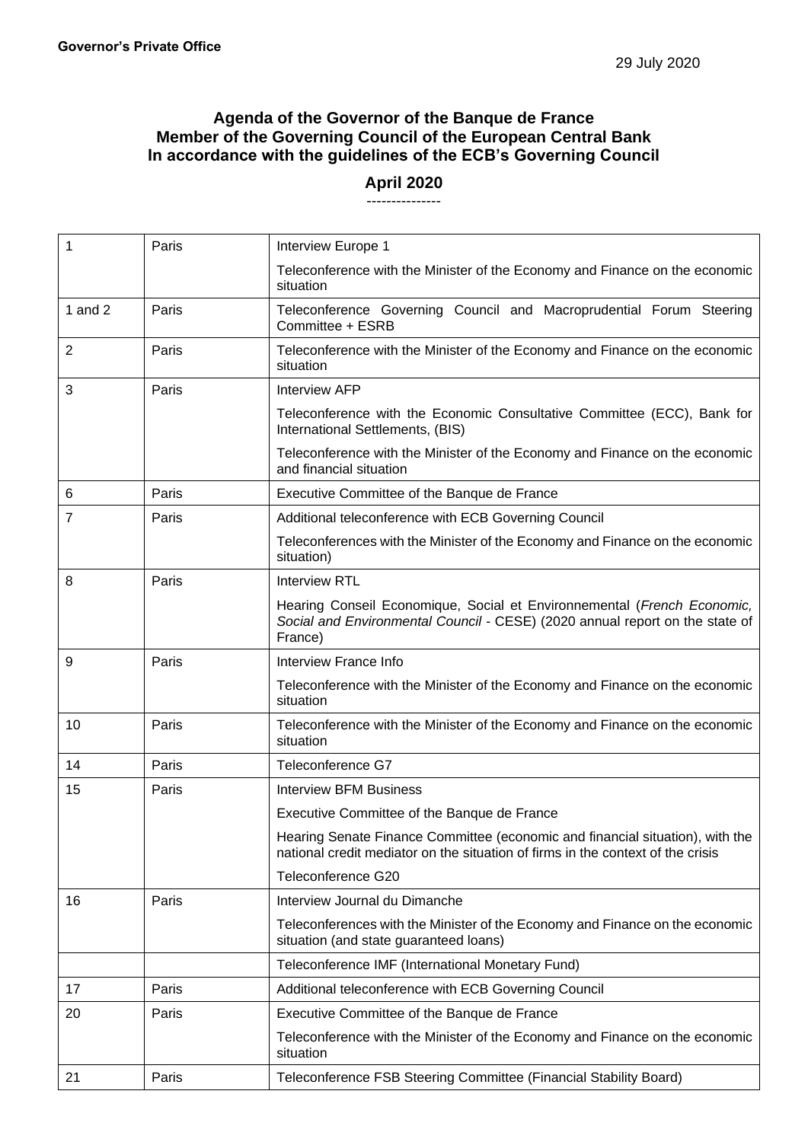## **Agenda of the Governor of the Banque de France Member of the Governing Council of the European Central Bank In accordance with the guidelines of the ECB's Governing Council**

## **April 2020** ---------------

| 1              | Paris | Interview Europe 1                                                                                                                                                 |
|----------------|-------|--------------------------------------------------------------------------------------------------------------------------------------------------------------------|
|                |       | Teleconference with the Minister of the Economy and Finance on the economic<br>situation                                                                           |
| 1 and $2$      | Paris | Teleconference Governing Council and Macroprudential Forum Steering<br>Committee + ESRB                                                                            |
| $\overline{2}$ | Paris | Teleconference with the Minister of the Economy and Finance on the economic<br>situation                                                                           |
| 3              | Paris | <b>Interview AFP</b>                                                                                                                                               |
|                |       | Teleconference with the Economic Consultative Committee (ECC), Bank for<br>International Settlements, (BIS)                                                        |
|                |       | Teleconference with the Minister of the Economy and Finance on the economic<br>and financial situation                                                             |
| 6              | Paris | Executive Committee of the Banque de France                                                                                                                        |
| 7              | Paris | Additional teleconference with ECB Governing Council                                                                                                               |
|                |       | Teleconferences with the Minister of the Economy and Finance on the economic<br>situation)                                                                         |
| 8              | Paris | <b>Interview RTL</b>                                                                                                                                               |
|                |       | Hearing Conseil Economique, Social et Environnemental (French Economic,<br>Social and Environmental Council - CESE) (2020 annual report on the state of<br>France) |
| 9              | Paris | Interview France Info                                                                                                                                              |
|                |       | Teleconference with the Minister of the Economy and Finance on the economic<br>situation                                                                           |
| 10             | Paris | Teleconference with the Minister of the Economy and Finance on the economic<br>situation                                                                           |
| 14             | Paris | Teleconference G7                                                                                                                                                  |
| 15             | Paris | <b>Interview BFM Business</b>                                                                                                                                      |
|                |       | Executive Committee of the Banque de France                                                                                                                        |
|                |       | Hearing Senate Finance Committee (economic and financial situation), with the<br>national credit mediator on the situation of firms in the context of the crisis   |
|                |       | Teleconference G20                                                                                                                                                 |
| 16             | Paris | Interview Journal du Dimanche                                                                                                                                      |
|                |       | Teleconferences with the Minister of the Economy and Finance on the economic<br>situation (and state guaranteed loans)                                             |
|                |       | Teleconference IMF (International Monetary Fund)                                                                                                                   |
| 17             | Paris | Additional teleconference with ECB Governing Council                                                                                                               |
| 20             | Paris | Executive Committee of the Banque de France                                                                                                                        |
|                |       | Teleconference with the Minister of the Economy and Finance on the economic<br>situation                                                                           |
| 21             | Paris | Teleconference FSB Steering Committee (Financial Stability Board)                                                                                                  |